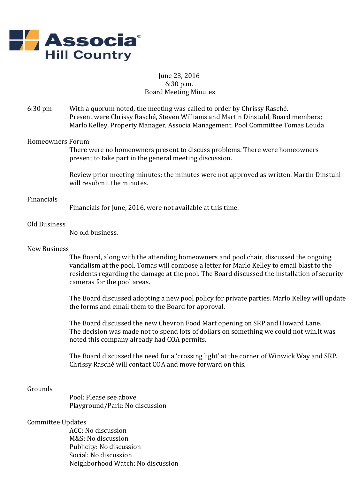

# June 23, 2016 6:30 p.m. Board Meeting Minutes

6:30 pm With a quorum noted, the meeting was called to order by Chrissy Rasché. Present were Chrissy Rasché, Steven Williams and Martin Dinstuhl, Board members; Marlo Kelley, Property Manager, Associa Management, Pool Committee Tomas Louda

## Homeowners Forum

There were no homeowners present to discuss problems. There were homeowners present to take part in the general meeting discussion.

Review prior meeting minutes: the minutes were not approved as written. Martin Dinstuhl will resubmit the minutes.

## Financials

Financials for June, 2016, were not available at this time.

## Old Business

No old business.

#### New Business

The Board, along with the attending homeowners and pool chair, discussed the ongoing vandalism at the pool. Tomas will compose a letter for Marlo Kelley to email blast to the residents regarding the damage at the pool. The Board discussed the installation of security cameras for the pool areas.

The Board discussed adopting a new pool policy for private parties. Marlo Kelley will update the forms and email them to the Board for approval.

The Board discussed the new Chevron Food Mart opening on SRP and Howard Lane. The decision was made not to spend lots of dollars on something we could not win.It was noted this company already had COA permits.

The Board discussed the need for a 'crossing light' at the corner of Winwick Way and SRP. Chrissy Rasché will contact COA and move forward on this.

#### Grounds

Pool: Please see above Playground/Park: No discussion

# Committee Updates

ACC: No discussion M&S: No discussion Publicity: No discussion Social: No discussion Neighborhood Watch: No discussion